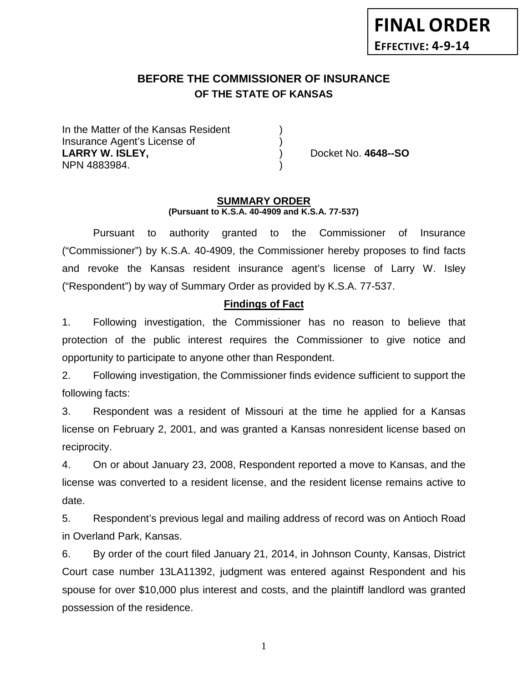# **BEFORE THE COMMISSIONER OF INSURANCE OF THE STATE OF KANSAS**

In the Matter of the Kansas Resident Insurance Agent's License of ) **LARRY W. ISLEY,** ) Docket No. **4648--SO** NPN 4883984. )

#### **SUMMARY ORDER (Pursuant to K.S.A. 40-4909 and K.S.A. 77-537)**

Pursuant to authority granted to the Commissioner of Insurance ("Commissioner") by K.S.A. 40-4909, the Commissioner hereby proposes to find facts and revoke the Kansas resident insurance agent's license of Larry W. Isley ("Respondent") by way of Summary Order as provided by K.S.A. 77-537.

## **Findings of Fact**

1. Following investigation, the Commissioner has no reason to believe that protection of the public interest requires the Commissioner to give notice and opportunity to participate to anyone other than Respondent.

2. Following investigation, the Commissioner finds evidence sufficient to support the following facts:

3. Respondent was a resident of Missouri at the time he applied for a Kansas license on February 2, 2001, and was granted a Kansas nonresident license based on reciprocity.

4. On or about January 23, 2008, Respondent reported a move to Kansas, and the license was converted to a resident license, and the resident license remains active to date.

5. Respondent's previous legal and mailing address of record was on Antioch Road in Overland Park, Kansas.

6. By order of the court filed January 21, 2014, in Johnson County, Kansas, District Court case number 13LA11392, judgment was entered against Respondent and his spouse for over \$10,000 plus interest and costs, and the plaintiff landlord was granted possession of the residence.

1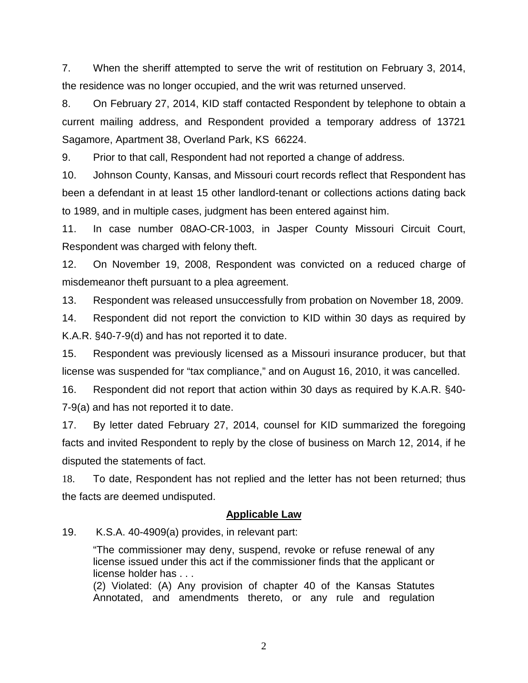7. When the sheriff attempted to serve the writ of restitution on February 3, 2014, the residence was no longer occupied, and the writ was returned unserved.

8. On February 27, 2014, KID staff contacted Respondent by telephone to obtain a current mailing address, and Respondent provided a temporary address of 13721 Sagamore, Apartment 38, Overland Park, KS 66224.

9. Prior to that call, Respondent had not reported a change of address.

10. Johnson County, Kansas, and Missouri court records reflect that Respondent has been a defendant in at least 15 other landlord-tenant or collections actions dating back to 1989, and in multiple cases, judgment has been entered against him.

11. In case number 08AO-CR-1003, in Jasper County Missouri Circuit Court, Respondent was charged with felony theft.

12. On November 19, 2008, Respondent was convicted on a reduced charge of misdemeanor theft pursuant to a plea agreement.

13. Respondent was released unsuccessfully from probation on November 18, 2009.

14. Respondent did not report the conviction to KID within 30 days as required by K.A.R. §40-7-9(d) and has not reported it to date.

15. Respondent was previously licensed as a Missouri insurance producer, but that license was suspended for "tax compliance," and on August 16, 2010, it was cancelled.

16. Respondent did not report that action within 30 days as required by K.A.R. §40- 7-9(a) and has not reported it to date.

17. By letter dated February 27, 2014, counsel for KID summarized the foregoing facts and invited Respondent to reply by the close of business on March 12, 2014, if he disputed the statements of fact.

18. To date, Respondent has not replied and the letter has not been returned; thus the facts are deemed undisputed.

### **Applicable Law**

19. K.S.A. 40-4909(a) provides, in relevant part:

"The commissioner may deny, suspend, revoke or refuse renewal of any license issued under this act if the commissioner finds that the applicant or license holder has . . .

(2) Violated: (A) Any provision of chapter 40 of the Kansas Statutes Annotated, and amendments thereto, or any rule and regulation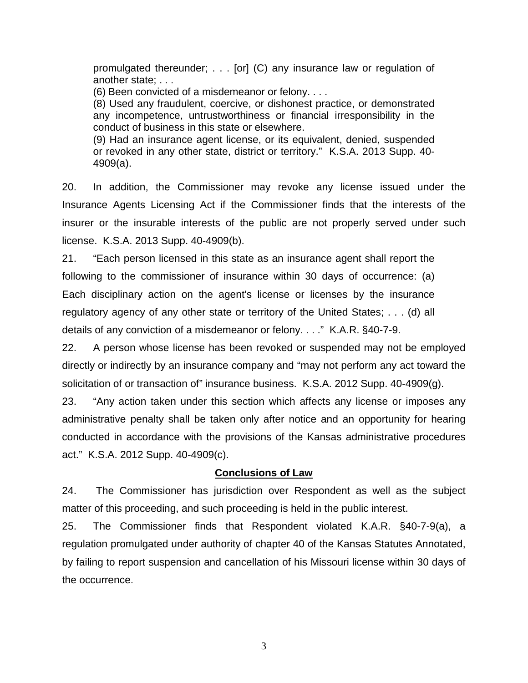promulgated thereunder; . . . [or] (C) any insurance law or regulation of another state; . . .

(6) Been convicted of a misdemeanor or felony. . . .

(8) Used any fraudulent, coercive, or dishonest practice, or demonstrated any incompetence, untrustworthiness or financial irresponsibility in the conduct of business in this state or elsewhere.

(9) Had an insurance agent license, or its equivalent, denied, suspended or revoked in any other state, district or territory." K.S.A. 2013 Supp. 40- 4909(a).

20. In addition, the Commissioner may revoke any license issued under the Insurance Agents Licensing Act if the Commissioner finds that the interests of the insurer or the insurable interests of the public are not properly served under such license. K.S.A. 2013 Supp. 40-4909(b).

21. "Each person licensed in this state as an insurance agent shall report the following to the commissioner of insurance within 30 days of occurrence: (a) Each disciplinary action on the agent's license or licenses by the insurance regulatory agency of any other state or territory of the United States; . . . (d) all details of any conviction of a misdemeanor or felony. . . ." K.A.R. §40-7-9.

22. A person whose license has been revoked or suspended may not be employed directly or indirectly by an insurance company and "may not perform any act toward the solicitation of or transaction of" insurance business. K.S.A. 2012 Supp. 40-4909(g).

23. "Any action taken under this section which affects any license or imposes any administrative penalty shall be taken only after notice and an opportunity for hearing conducted in accordance with the provisions of the Kansas administrative procedures act." K.S.A. 2012 Supp. 40-4909(c).

### **Conclusions of Law**

24. The Commissioner has jurisdiction over Respondent as well as the subject matter of this proceeding, and such proceeding is held in the public interest.

25. The Commissioner finds that Respondent violated K.A.R. §40-7-9(a), a regulation promulgated under authority of chapter 40 of the Kansas Statutes Annotated, by failing to report suspension and cancellation of his Missouri license within 30 days of the occurrence.

3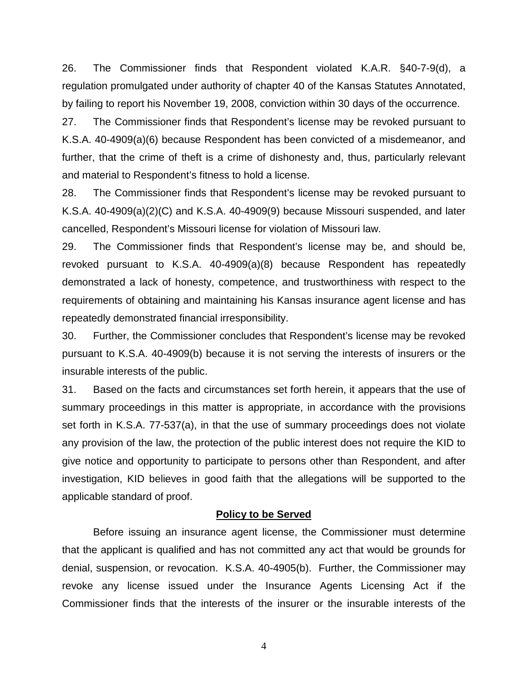26. The Commissioner finds that Respondent violated K.A.R. §40-7-9(d), a regulation promulgated under authority of chapter 40 of the Kansas Statutes Annotated, by failing to report his November 19, 2008, conviction within 30 days of the occurrence.

27. The Commissioner finds that Respondent's license may be revoked pursuant to K.S.A. 40-4909(a)(6) because Respondent has been convicted of a misdemeanor, and further, that the crime of theft is a crime of dishonesty and, thus, particularly relevant and material to Respondent's fitness to hold a license.

28. The Commissioner finds that Respondent's license may be revoked pursuant to K.S.A. 40-4909(a)(2)(C) and K.S.A. 40-4909(9) because Missouri suspended, and later cancelled, Respondent's Missouri license for violation of Missouri law.

29. The Commissioner finds that Respondent's license may be, and should be, revoked pursuant to K.S.A. 40-4909(a)(8) because Respondent has repeatedly demonstrated a lack of honesty, competence, and trustworthiness with respect to the requirements of obtaining and maintaining his Kansas insurance agent license and has repeatedly demonstrated financial irresponsibility.

30. Further, the Commissioner concludes that Respondent's license may be revoked pursuant to K.S.A. 40-4909(b) because it is not serving the interests of insurers or the insurable interests of the public.

31. Based on the facts and circumstances set forth herein, it appears that the use of summary proceedings in this matter is appropriate, in accordance with the provisions set forth in K.S.A. 77-537(a), in that the use of summary proceedings does not violate any provision of the law, the protection of the public interest does not require the KID to give notice and opportunity to participate to persons other than Respondent, and after investigation, KID believes in good faith that the allegations will be supported to the applicable standard of proof.

#### **Policy to be Served**

Before issuing an insurance agent license, the Commissioner must determine that the applicant is qualified and has not committed any act that would be grounds for denial, suspension, or revocation. K.S.A. 40-4905(b). Further, the Commissioner may revoke any license issued under the Insurance Agents Licensing Act if the Commissioner finds that the interests of the insurer or the insurable interests of the

4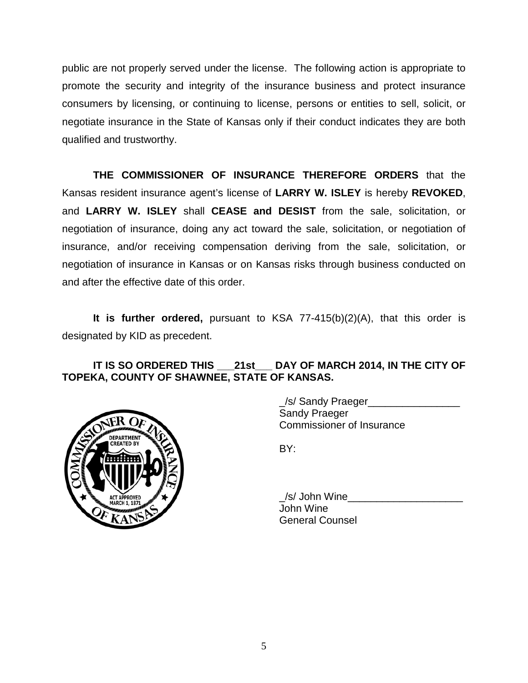public are not properly served under the license. The following action is appropriate to promote the security and integrity of the insurance business and protect insurance consumers by licensing, or continuing to license, persons or entities to sell, solicit, or negotiate insurance in the State of Kansas only if their conduct indicates they are both qualified and trustworthy.

**THE COMMISSIONER OF INSURANCE THEREFORE ORDERS** that the Kansas resident insurance agent's license of **LARRY W. ISLEY** is hereby **REVOKED**, and **LARRY W. ISLEY** shall **CEASE and DESIST** from the sale, solicitation, or negotiation of insurance, doing any act toward the sale, solicitation, or negotiation of insurance, and/or receiving compensation deriving from the sale, solicitation, or negotiation of insurance in Kansas or on Kansas risks through business conducted on and after the effective date of this order.

**It is further ordered,** pursuant to KSA 77-415(b)(2)(A), that this order is designated by KID as precedent.

## **IT IS SO ORDERED THIS \_\_\_21st\_\_\_ DAY OF MARCH 2014, IN THE CITY OF TOPEKA, COUNTY OF SHAWNEE, STATE OF KANSAS.**



\_/s/ Sandy Praeger\_\_\_\_\_\_\_\_\_\_\_\_\_\_\_\_ Sandy Praeger Commissioner of Insurance

BY:

/s/ John Wine John Wine General Counsel